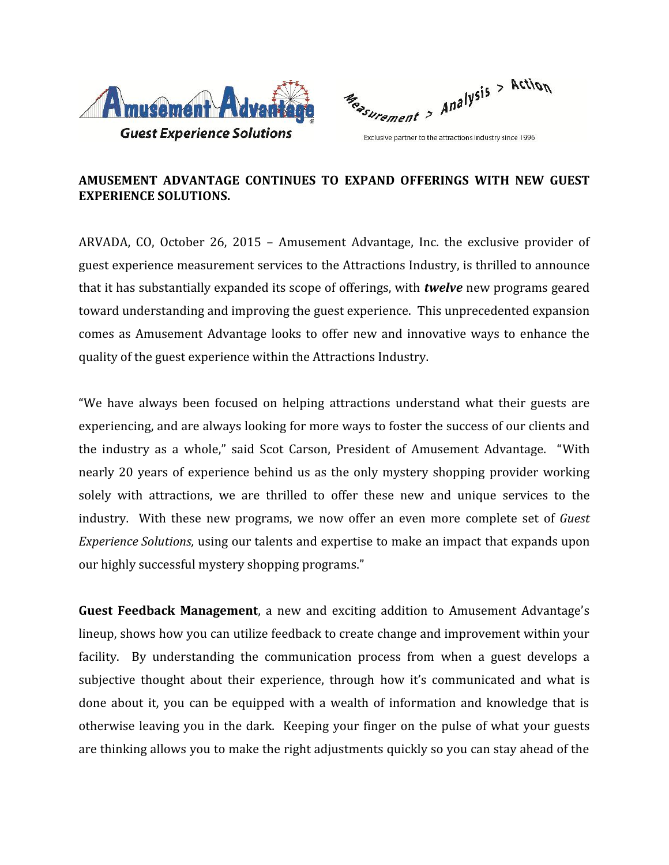

Measurement > Analysis > Action

Exclusive partner to the attractions industry since 1996

## **AMUSEMENT ADVANTAGE CONTINUES TO EXPAND OFFERINGS WITH NEW GUEST EXPERIENCE SOLUTIONS.**

ARVADA, CO, October 26, 2015 – Amusement Advantage, Inc. the exclusive provider of guest experience measurement services to the Attractions Industry, is thrilled to announce that it has substantially expanded its scope of offerings, with *twelve* new programs geared toward understanding and improving the guest experience. This unprecedented expansion comes as Amusement Advantage looks to offer new and innovative ways to enhance the quality of the guest experience within the Attractions Industry.

"We have always been focused on helping attractions understand what their guests are experiencing, and are always looking for more ways to foster the success of our clients and the industry as a whole," said Scot Carson, President of Amusement Advantage. "With nearly 20 years of experience behind us as the only mystery shopping provider working solely with attractions, we are thrilled to offer these new and unique services to the industry. With these new programs, we now offer an even more complete set of *Guest Experience Solutions,* using our talents and expertise to make an impact that expands upon our highly successful mystery shopping programs."

**Guest Feedback Management**, a new and exciting addition to Amusement Advantage's lineup, shows how you can utilize feedback to create change and improvement within your facility. By understanding the communication process from when a guest develops a subjective thought about their experience, through how it's communicated and what is done about it, you can be equipped with a wealth of information and knowledge that is otherwise leaving you in the dark. Keeping your finger on the pulse of what your guests are thinking allows you to make the right adjustments quickly so you can stay ahead of the